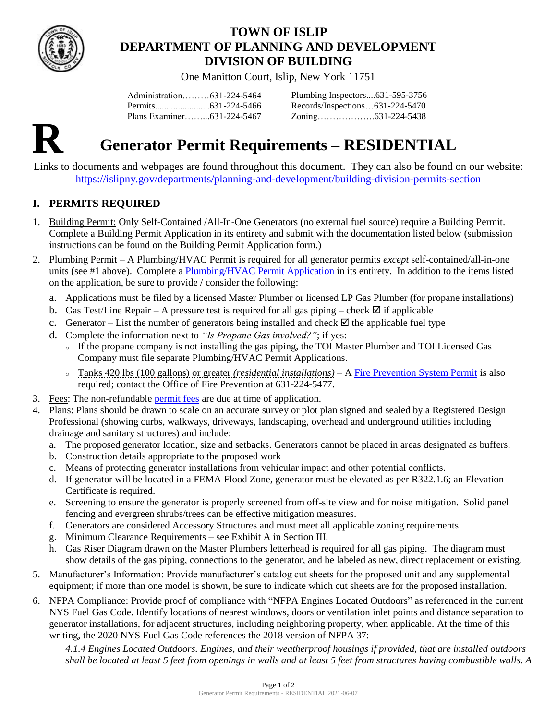

# **TOWN OF ISLIP DEPARTMENT OF PLANNING AND DEVELOPMENT DIVISION OF BUILDING**

One Manitton Court, Islip, New York 11751

Administration………631-224-5464 Permits........................631-224-5466 Plans Examiner……...631-224-5467 Plumbing Inspectors....631-595-3756 Records/Inspections…631-224-5470 Zoning……………….631-224-5438



# **R Generator Permit Requirements – RESIDENTIAL**

Links to documents and webpages are found throughout this document. They can also be found on our website: <https://islipny.gov/departments/planning-and-development/building-division-permits-section>

## **I. PERMITS REQUIRED**

- 1. Building Permit: Only Self-Contained /All-In-One Generators (no external fuel source) require a Building Permit. Complete a Building Permit Application in its entirety and submit with the documentation listed below (submission instructions can be found on the Building Permit Application form.)
- 2. Plumbing Permit A Plumbing/HVAC Permit is required for all generator permits *except* self-contained/all-in-one units (see #1 above). Complete [a Plumbing/HVAC Permit Application](https://islipny.gov/building-division-permits-list/32-plumbing-hvac-permit-application/file) in its entirety. In addition to the items listed on the application, be sure to provide / consider the following:
	- a. Applications must be filed by a licensed Master Plumber or licensed LP Gas Plumber (for propane installations)
	- b. Gas Test/Line Repair A pressure test is required for all gas piping check  $\boxtimes$  if applicable
	- c. Generator List the number of generators being installed and check  $\boxtimes$  the applicable fuel type
	- d. Complete the information next to *"Is Propane Gas involved?"*; if yes:
		- <sup>o</sup> If the propane company is not installing the gas piping, the TOI Master Plumber and TOI Licensed Gas Company must file separate Plumbing/HVAC Permit Applications.
		- <sup>o</sup> Tanks 420 lbs (100 gallons) or greater *(residential installations)* [A Fire Prevention System Permit](https://islipny.gov/community-and-services/documents/fire-prevention-bureau/139-system-permit-application/file) is also required; contact the Office of Fire Prevention at 631-224-5477.
- 3. Fees: The non-refundable [permit](https://www.islipny.gov/building-division-permits-list/49-fee-schedule-for-the-building-division-residential/file) fees are due at time of application.
- 4. Plans: Plans should be drawn to scale on an accurate survey or plot plan signed and sealed by a Registered Design Professional (showing curbs, walkways, driveways, landscaping, overhead and underground utilities including drainage and sanitary structures) and include:
	- a. The proposed generator location, size and setbacks. Generators cannot be placed in areas designated as buffers.
	- b. Construction details appropriate to the proposed work
	- c. Means of protecting generator installations from vehicular impact and other potential conflicts.
	- d. If generator will be located in a FEMA Flood Zone, generator must be elevated as per R322.1.6; an Elevation Certificate is required.
	- e. Screening to ensure the generator is properly screened from off-site view and for noise mitigation. Solid panel fencing and evergreen shrubs/trees can be effective mitigation measures.
	- f. Generators are considered Accessory Structures and must meet all applicable zoning requirements.
	- g. Minimum Clearance Requirements see Exhibit A in Section III.
	- h. Gas Riser Diagram drawn on the Master Plumbers letterhead is required for all gas piping. The diagram must show details of the gas piping, connections to the generator, and be labeled as new, direct replacement or existing.
- 5. Manufacturer's Information: Provide manufacturer's catalog cut sheets for the proposed unit and any supplemental equipment; if more than one model is shown, be sure to indicate which cut sheets are for the proposed installation.
- 6. NFPA Compliance: Provide proof of compliance with "NFPA Engines Located Outdoors" as referenced in the current NYS Fuel Gas Code. Identify locations of nearest windows, doors or ventilation inlet points and distance separation to generator installations, for adjacent structures, including neighboring property, when applicable. At the time of this writing, the 2020 NYS Fuel Gas Code references the 2018 version of NFPA 37:

*4.1.4 Engines Located Outdoors. Engines, and their weatherproof housings if provided, that are installed outdoors shall be located at least 5 feet from openings in walls and at least 5 feet from structures having combustible walls. A*